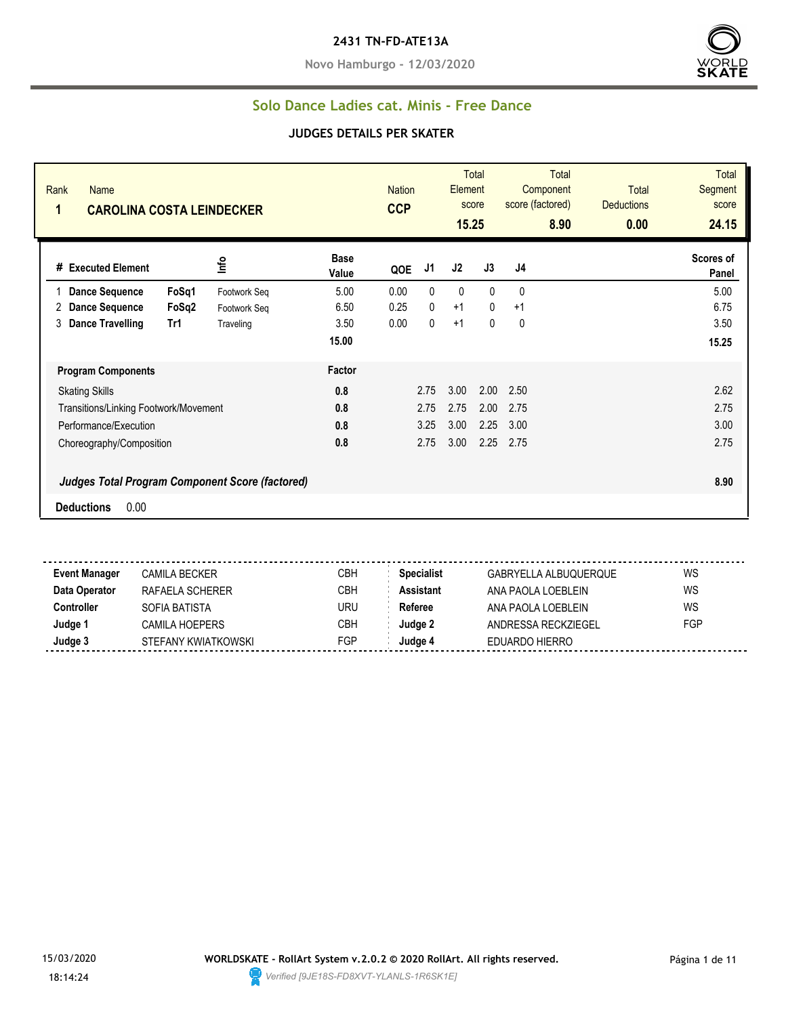#### **2431 TN-FD-ATE13A**

**Novo Hamburgo - 12/03/2020**



#### **Solo Dance Ladies cat. Minis - Free Dance**

#### **JUDGES DETAILS PER SKATER**

| Rank<br><b>Name</b><br>1<br><b>CAROLINA COSTA LEINDECKER</b> |       |                                                        | <b>CCP</b>           | <b>Nation</b> |                | <b>Total</b><br>Element<br>score<br>15.25 | <b>Total</b><br>Component<br>score (factored)<br>8.90 | <b>Total</b><br><b>Deductions</b><br>0.00 | Total<br><b>Segment</b><br>score<br>24.15 |                    |
|--------------------------------------------------------------|-------|--------------------------------------------------------|----------------------|---------------|----------------|-------------------------------------------|-------------------------------------------------------|-------------------------------------------|-------------------------------------------|--------------------|
| # Executed Element                                           |       | ١٣٥                                                    | <b>Base</b><br>Value | QOE           | J <sub>1</sub> | J2                                        | J3                                                    | J4                                        |                                           | Scores of<br>Panel |
| <b>Dance Sequence</b>                                        | FoSq1 | Footwork Seq                                           | 5.00                 | 0.00          | 0              | 0                                         | $\mathbf{0}$                                          | 0                                         |                                           | 5.00               |
| <b>Dance Sequence</b><br>2                                   | FoSq2 | Footwork Seq                                           | 6.50                 | 0.25          | $\mathbf{0}$   | $+1$                                      | $\mathbf{0}$                                          | $+1$                                      |                                           | 6.75               |
| 3<br><b>Dance Travelling</b>                                 | Tr1   | Traveling                                              | 3.50                 | 0.00          | $\mathbf{0}$   | $+1$                                      | 0                                                     | 0                                         |                                           | 3.50               |
|                                                              |       |                                                        | 15.00                |               |                |                                           |                                                       |                                           |                                           | 15.25              |
| <b>Program Components</b>                                    |       |                                                        | Factor               |               |                |                                           |                                                       |                                           |                                           |                    |
| <b>Skating Skills</b>                                        |       |                                                        | 0.8                  |               | 2.75           | 3.00                                      | 2.00                                                  | 2.50                                      |                                           | 2.62               |
| Transitions/Linking Footwork/Movement                        |       |                                                        | 0.8                  |               | 2.75           | 2.75                                      | 2.00                                                  | 2.75                                      |                                           | 2.75               |
| Performance/Execution                                        |       |                                                        | 0.8                  |               | 3.25           | 3.00                                      | 2.25                                                  | 3.00                                      |                                           | 3.00               |
| Choreography/Composition                                     |       |                                                        | 0.8                  |               | 2.75           | 3.00                                      | 2.25                                                  | 2.75                                      |                                           | 2.75               |
|                                                              |       | <b>Judges Total Program Component Score (factored)</b> |                      |               |                |                                           |                                                       |                                           |                                           | 8.90               |
| 0.00<br><b>Deductions</b>                                    |       |                                                        |                      |               |                |                                           |                                                       |                                           |                                           |                    |

 $\overline{a}$ . **Event Manager** CAMILA BECKER CAMICA BECKER CBH Specialist GABRYELLA ALBUQUERQUE WS **Data Operator** RAFAELA SCHERER CBH **Assistant** ANA PAOLA LOEBLEIN WS **Controller** SOFIA BATISTA URU **Referee** ANA PAOLA LOEBLEIN WS **Judge 1** CAMILA HOEPERS CBH **Judge 2** ANDRESSA RECKZIEGEL FGP **Judge 3** STEFANY KWIATKOWSKI FGP **Judge 4** EDUARDO HIERRO

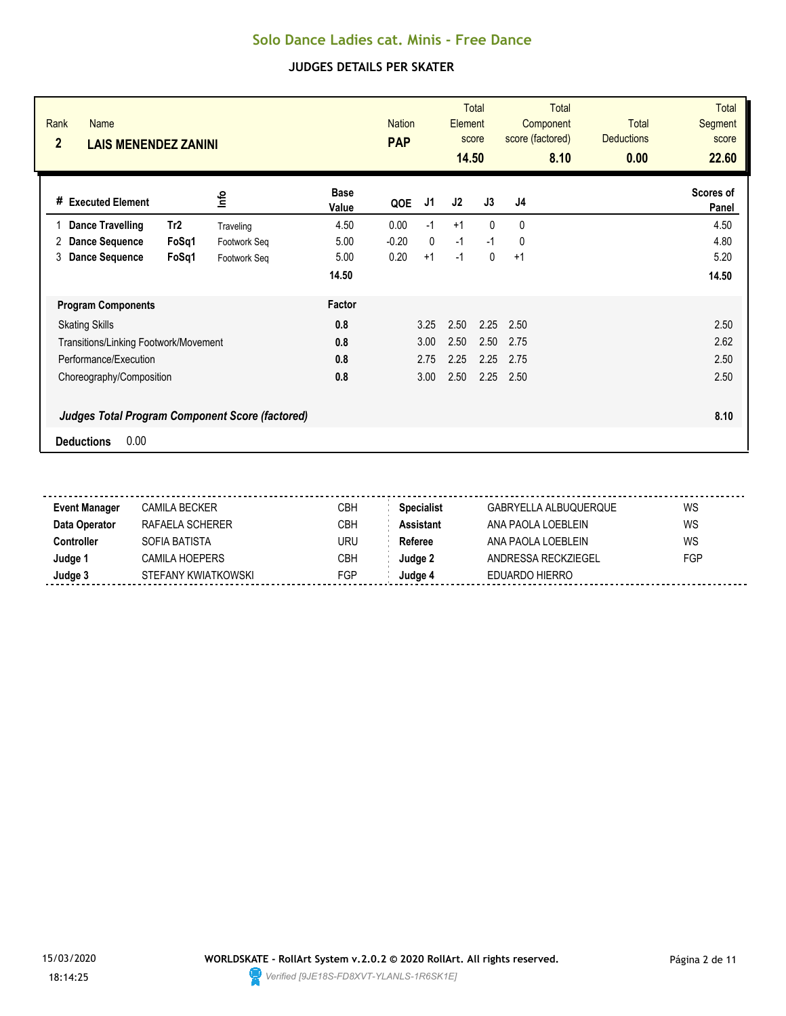| Rank<br><b>Name</b><br>$\overline{2}$<br><b>LAIS MENENDEZ ZANINI</b> |              |                      | <b>Nation</b><br><b>PAP</b> |              | Element<br>14.50 | <b>Total</b><br>score | <b>Total</b><br>Component<br>score (factored)<br>8.10 | <b>Total</b><br><b>Deductions</b><br>0.00 | Total<br><b>Segment</b><br>score<br>22.60 |
|----------------------------------------------------------------------|--------------|----------------------|-----------------------------|--------------|------------------|-----------------------|-------------------------------------------------------|-------------------------------------------|-------------------------------------------|
| # Executed Element                                                   | lnfo         | <b>Base</b><br>Value | QOE                         | J1           | J2               | J3                    | J4                                                    |                                           | Scores of<br>Panel                        |
| Tr <sub>2</sub><br><b>Dance Travelling</b>                           | Traveling    | 4.50                 | 0.00                        | $-1$         | $+1$             | $\Omega$              | $\Omega$                                              |                                           | 4.50                                      |
| <b>Dance Sequence</b><br>FoSq1<br>2                                  | Footwork Seg | 5.00                 | $-0.20$                     | $\mathbf{0}$ | $-1$             | $-1$                  | $\mathbf{0}$                                          |                                           | 4.80                                      |
| <b>Dance Sequence</b><br>FoSq1<br>3                                  | Footwork Seg | 5.00                 | 0.20                        | $+1$         | $-1$             | 0                     | $+1$                                                  |                                           | 5.20                                      |
|                                                                      |              | 14.50                |                             |              |                  |                       |                                                       |                                           | 14.50                                     |
| <b>Program Components</b>                                            |              | Factor               |                             |              |                  |                       |                                                       |                                           |                                           |
| <b>Skating Skills</b>                                                |              | 0.8                  |                             | 3.25         | 2.50             | 2.25                  | 2.50                                                  |                                           | 2.50                                      |
| Transitions/Linking Footwork/Movement                                |              | 0.8                  |                             | 3.00         | 2.50             | 2.50                  | 2.75                                                  |                                           | 2.62                                      |
| Performance/Execution                                                |              | 0.8                  |                             | 2.75         | 2.25             | 2.25                  | 2.75                                                  |                                           | 2.50                                      |
| Choreography/Composition                                             |              | 0.8                  |                             | 3.00         | 2.50             | 2.25                  | 2.50                                                  |                                           | 2.50                                      |
| <b>Judges Total Program Component Score (factored)</b>               |              |                      |                             |              |                  |                       |                                                       |                                           | 8.10                                      |
| 0.00<br><b>Deductions</b>                                            |              |                      |                             |              |                  |                       |                                                       |                                           |                                           |

| Event Manager | CAMILA BECKER       | СВН        | <b>Specialist</b> | GABRYELLA ALBUQUERQUE | WS         |
|---------------|---------------------|------------|-------------------|-----------------------|------------|
| Data Operator | RAFAFI A SCHFRFR    | CBH        | <b>Assistant</b>  | ANA PAOLA LOEBLEIN    | WS         |
| Controller    | SOFIA BATISTA       | URU        | Referee           | ANA PAOLA LOEBLEIN    | WS         |
| Judge 1       | CAMILA HOEPERS      | СВН        | Judge 2           | ANDRESSA RECKZIEGEL   | <b>FGP</b> |
| Judge 3       | STEFANY KWIATKOWSKI | <b>FGP</b> | Judge 4           | EDUARDO HIERRO        |            |
|               |                     |            |                   |                       |            |

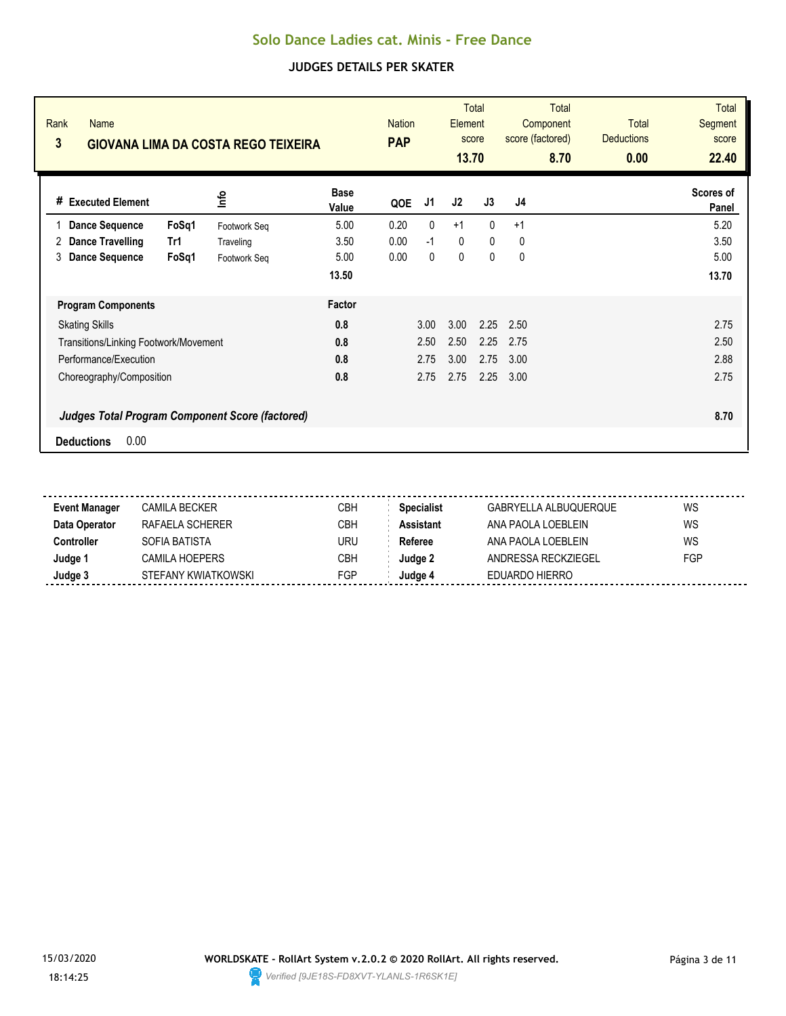| Rank<br>Name<br>3<br><b>GIOVANA LIMA DA COSTA REGO TEIXEIRA</b> |              |                      | <b>Nation</b><br><b>PAP</b> |      | Element<br>13.70 | <b>Total</b><br>score | <b>Total</b><br>Component<br>score (factored)<br>8.70 | <b>Total</b><br><b>Deductions</b><br>0.00 | <b>Total</b><br>Segment<br>score<br>22.40 |
|-----------------------------------------------------------------|--------------|----------------------|-----------------------------|------|------------------|-----------------------|-------------------------------------------------------|-------------------------------------------|-------------------------------------------|
| <b>Executed Element</b><br>#                                    | lnfo         | <b>Base</b><br>Value | QOE                         | J1   | J2               | J3                    | J <sub>4</sub>                                        |                                           | Scores of<br>Panel                        |
| <b>Dance Sequence</b><br>FoSq1                                  | Footwork Seq | 5.00                 | 0.20                        | 0    | $+1$             | $\mathbf{0}$          | $+1$                                                  |                                           | 5.20                                      |
| <b>Dance Travelling</b><br>Tr1<br>2                             | Traveling    | 3.50                 | 0.00                        | $-1$ | 0                | $\mathbf{0}$          | 0                                                     |                                           | 3.50                                      |
| <b>Dance Sequence</b><br>FoSq1<br>3                             | Footwork Seq | 5.00                 | 0.00                        | 0    | 0                | $\pmb{0}$             | 0                                                     |                                           | 5.00                                      |
|                                                                 |              | 13.50                |                             |      |                  |                       |                                                       |                                           | 13.70                                     |
| <b>Program Components</b>                                       |              | Factor               |                             |      |                  |                       |                                                       |                                           |                                           |
| <b>Skating Skills</b>                                           |              | 0.8                  |                             | 3.00 | 3.00             | 2.25                  | 2.50                                                  |                                           | 2.75                                      |
| Transitions/Linking Footwork/Movement                           |              | 0.8                  |                             | 2.50 | 2.50             | 2.25                  | 2.75                                                  |                                           | 2.50                                      |
| Performance/Execution                                           |              | 0.8                  |                             | 2.75 | 3.00             | 2.75                  | 3.00                                                  |                                           | 2.88                                      |
| Choreography/Composition                                        |              | 0.8                  |                             | 2.75 | 2.75             | 2.25                  | 3.00                                                  |                                           | 2.75                                      |
| <b>Judges Total Program Component Score (factored)</b>          |              |                      |                             |      |                  |                       |                                                       |                                           | 8.70                                      |
| 0.00<br><b>Deductions</b>                                       |              |                      |                             |      |                  |                       |                                                       |                                           |                                           |

| <b>Event Manager</b> | CAMILA BECKER       | CBH | Specialist       | GABRYELLA ALBUQUERQUE | WS  |
|----------------------|---------------------|-----|------------------|-----------------------|-----|
| Data Operator        | RAFAFI A SCHFRFR    | CBH | <b>Assistant</b> | ANA PAOLA LOEBI FIN   | WS  |
| Controller           | SOFIA BATISTA       | URU | Referee          | ANA PAOLA LOEBLFIN    | WS  |
| Judge 1              | CAMILA HOEPERS      | CBH | Judae 2          | ANDRESSA RECKZIEGEL   | FGP |
| Judge 3              | STEFANY KWIATKOWSKI | FGP | Judae 4          | EDUARDO HIERRO        |     |
|                      |                     |     |                  |                       |     |

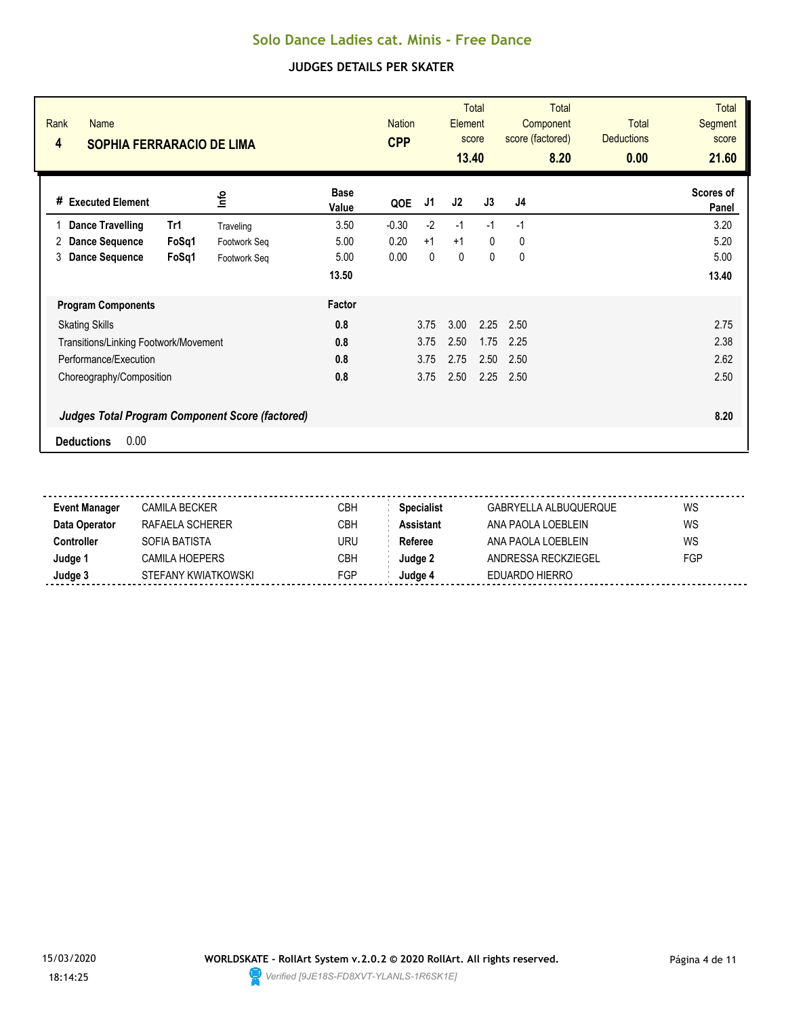| Rank<br><b>Name</b><br>4<br><b>SOPHIA FERRARACIO DE LIMA</b> |              |                      | <b>CPP</b> | <b>Nation</b> |      | <b>Total</b><br>Element<br>score<br>13.40 | <b>Total</b><br>Component<br>score (factored)<br>8.20 | <b>Total</b><br><b>Deductions</b><br>0.00 | Total<br>Segment<br>score<br>21.60 |
|--------------------------------------------------------------|--------------|----------------------|------------|---------------|------|-------------------------------------------|-------------------------------------------------------|-------------------------------------------|------------------------------------|
| <b>Executed Element</b><br>#                                 | lnfo         | <b>Base</b><br>Value | QOE        | J1            | J2   | J3                                        | J <sub>4</sub>                                        |                                           | Scores of<br>Panel                 |
| <b>Dance Travelling</b><br>Tr1                               | Traveling    | 3.50                 | $-0.30$    | $-2$          | $-1$ | $-1$                                      | $-1$                                                  |                                           | 3.20                               |
| <b>Dance Sequence</b><br>FoSq1<br>2                          | Footwork Seq | 5.00                 | 0.20       | $+1$          | $+1$ | $\mathbf{0}$                              | 0                                                     |                                           | 5.20                               |
| <b>Dance Sequence</b><br>FoSq1<br>3                          | Footwork Seg | 5.00                 | 0.00       | 0             | 0    | 0                                         | 0                                                     |                                           | 5.00                               |
|                                                              |              | 13.50                |            |               |      |                                           |                                                       |                                           | 13.40                              |
| <b>Program Components</b>                                    |              | Factor               |            |               |      |                                           |                                                       |                                           |                                    |
| <b>Skating Skills</b>                                        |              | 0.8                  |            | 3.75          | 3.00 | 2.25                                      | 2.50                                                  |                                           | 2.75                               |
| Transitions/Linking Footwork/Movement                        |              | 0.8                  |            | 3.75          | 2.50 | 1.75                                      | 2.25                                                  |                                           | 2.38                               |
| Performance/Execution                                        |              | 0.8                  |            | 3.75          | 2.75 | 2.50                                      | 2.50                                                  |                                           | 2.62                               |
| Choreography/Composition                                     |              | 0.8                  |            | 3.75          | 2.50 | 2.25                                      | 2.50                                                  |                                           | 2.50                               |
| <b>Judges Total Program Component Score (factored)</b>       |              |                      |            |               |      |                                           |                                                       |                                           | 8.20                               |
| 0.00<br><b>Deductions</b>                                    |              |                      |            |               |      |                                           |                                                       |                                           |                                    |

| <b>Event Manager</b> | CAMILA BECKER       | CBH        | <b>Specialist</b> | GABRYELLA ALBUQUERQUE | WS  |
|----------------------|---------------------|------------|-------------------|-----------------------|-----|
| Data Operator        | RAFAFI A SCHFRFR    | CBH        | <b>Assistant</b>  | ANA PAOLA LOEBI FIN   | WS  |
| Controller           | SOFIA BATISTA       | URU        | Referee           | ANA PAOLA LOEBI FIN   | WS  |
| Judge 1              | CAMILA HOEPERS      | <b>CBH</b> | Judge 2           | ANDRESSA RECKZIEGEL   | FGP |
| Judge 3              | STEFANY KWIATKOWSKI | FGP        | Judae 4           | EDUARDO HIERRO        |     |
|                      |                     |            |                   |                       |     |

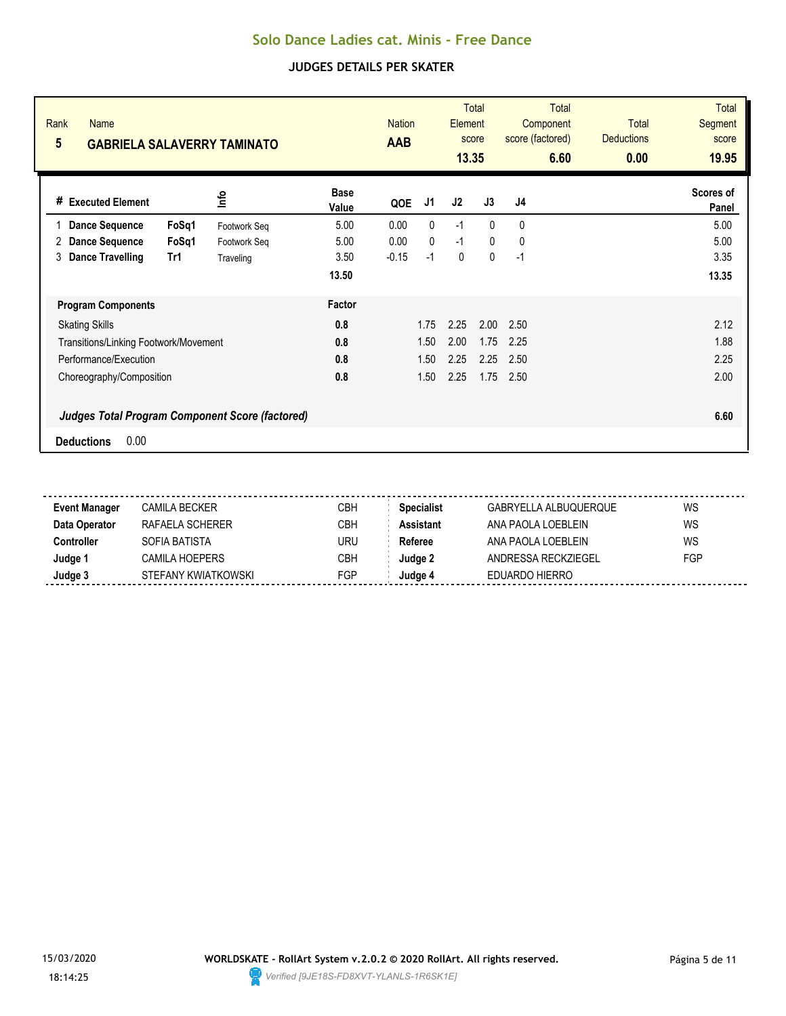| Rank<br><b>Name</b><br>5<br><b>GABRIELA SALAVERRY TAMINATO</b> |              |                      | <b>Nation</b><br><b>AAB</b> |      | Element<br>13.35 | <b>Total</b><br>score | <b>Total</b><br>Component<br>score (factored)<br>6.60 | <b>Total</b><br><b>Deductions</b><br>0.00 | Total<br>Segment<br>score<br>19.95 |
|----------------------------------------------------------------|--------------|----------------------|-----------------------------|------|------------------|-----------------------|-------------------------------------------------------|-------------------------------------------|------------------------------------|
| <b>Executed Element</b><br>#                                   | <u>nfo</u>   | <b>Base</b><br>Value | QOE                         | J1   | J2               | J3                    | J <sub>4</sub>                                        |                                           | Scores of<br>Panel                 |
| FoSq1<br><b>Dance Sequence</b>                                 | Footwork Seq | 5.00                 | 0.00                        | 0    | $-1$             | $\mathbf{0}$          | $\mathbf{0}$                                          |                                           | 5.00                               |
| <b>Dance Sequence</b><br>FoSq1<br>2                            | Footwork Seq | 5.00                 | 0.00                        | 0    | $-1$             | $\mathbf{0}$          | 0                                                     |                                           | 5.00                               |
| <b>Dance Travelling</b><br>Tr1<br>3                            | Traveling    | 3.50                 | $-0.15$                     | $-1$ | 0                | $\mathbf 0$           | $-1$                                                  |                                           | 3.35                               |
|                                                                |              | 13.50                |                             |      |                  |                       |                                                       |                                           | 13.35                              |
| <b>Program Components</b>                                      |              | Factor               |                             |      |                  |                       |                                                       |                                           |                                    |
| <b>Skating Skills</b>                                          |              | 0.8                  |                             | 1.75 | 2.25             | 2.00                  | 2.50                                                  |                                           | 2.12                               |
| Transitions/Linking Footwork/Movement                          |              | 0.8                  |                             | 1.50 | 2.00             | 1.75                  | 2.25                                                  |                                           | 1.88                               |
| Performance/Execution                                          |              | 0.8                  |                             | 1.50 | 2.25             | 2.25                  | 2.50                                                  |                                           | 2.25                               |
| Choreography/Composition                                       |              | 0.8                  |                             | 1.50 | 2.25             | 1.75                  | 2.50                                                  |                                           | 2.00                               |
| <b>Judges Total Program Component Score (factored)</b>         |              |                      |                             |      |                  |                       |                                                       |                                           | 6.60                               |
| 0.00<br><b>Deductions</b>                                      |              |                      |                             |      |                  |                       |                                                       |                                           |                                    |

| <b>Event Manager</b> | CAMILA BECKER       | CBH        | <b>Specialist</b> | GABRYELLA ALBUQUERQUE | WS  |
|----------------------|---------------------|------------|-------------------|-----------------------|-----|
| Data Operator        | RAFAELA SCHERFR     | CBH        | <b>Assistant</b>  | ANA PAOLA LOEBI FIN   | WS  |
| Controller           | SOFIA BATISTA       | URU        | Referee           | ANA PAOLA LOEBLFIN    | WS  |
| Judge 1              | CAMILA HOEPERS      | <b>CBH</b> | Judae 2           | ANDRESSA RECKZIEGEL   | FGP |
| Judge 3              | STEFANY KWIATKOWSKI | FGP        | Judge 4           | EDUARDO HIERRO        |     |
|                      |                     |            |                   |                       |     |

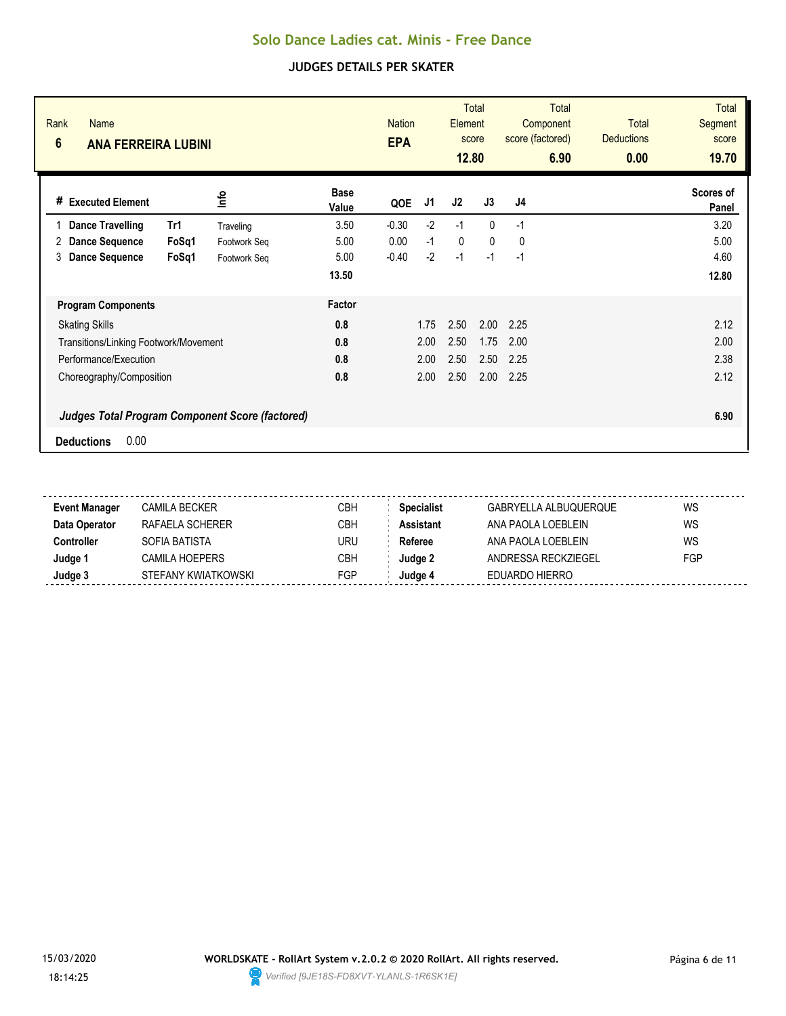| Rank<br><b>Name</b><br>$6\phantom{1}$<br><b>ANA FERREIRA LUBINI</b> |              |                      | <b>Nation</b><br><b>EPA</b> |      | Element<br>12.80 | <b>Total</b><br>score | <b>Total</b><br>Component<br>score (factored)<br>6.90 | <b>Total</b><br><b>Deductions</b><br>0.00 | <b>Total</b><br>Segment<br>score<br>19.70 |
|---------------------------------------------------------------------|--------------|----------------------|-----------------------------|------|------------------|-----------------------|-------------------------------------------------------|-------------------------------------------|-------------------------------------------|
| # Executed Element                                                  | ۴ů           | <b>Base</b><br>Value | QOE                         | J1   | J2               | J3                    | J4                                                    |                                           | Scores of<br>Panel                        |
| <b>Dance Travelling</b><br>Tr1                                      | Traveling    | 3.50                 | $-0.30$                     | $-2$ | $-1$             | $\Omega$              | $-1$                                                  |                                           | 3.20                                      |
| <b>Dance Sequence</b><br>FoSq1<br>2                                 | Footwork Seq | 5.00                 | 0.00                        | $-1$ | $\mathbf{0}$     | $\mathbf{0}$          | 0                                                     |                                           | 5.00                                      |
| <b>Dance Sequence</b><br>FoSq1<br>3                                 | Footwork Seq | 5.00                 | $-0.40$                     | $-2$ | $-1$             | $-1$                  | $-1$                                                  |                                           | 4.60                                      |
|                                                                     |              | 13.50                |                             |      |                  |                       |                                                       |                                           | 12.80                                     |
| <b>Program Components</b>                                           |              | Factor               |                             |      |                  |                       |                                                       |                                           |                                           |
| <b>Skating Skills</b>                                               |              | 0.8                  |                             | 1.75 | 2.50             | 2.00                  | 2.25                                                  |                                           | 2.12                                      |
| Transitions/Linking Footwork/Movement                               |              | 0.8                  |                             | 2.00 | 2.50             | 1.75                  | 2.00                                                  |                                           | 2.00                                      |
| Performance/Execution                                               |              | 0.8                  |                             | 2.00 | 2.50             | 2.50                  | 2.25                                                  |                                           | 2.38                                      |
| Choreography/Composition                                            |              | 0.8                  |                             | 2.00 | 2.50             | 2.00                  | 2.25                                                  |                                           | 2.12                                      |
| <b>Judges Total Program Component Score (factored)</b>              |              |                      |                             |      |                  |                       |                                                       |                                           | 6.90                                      |
| 0.00<br><b>Deductions</b>                                           |              |                      |                             |      |                  |                       |                                                       |                                           |                                           |

| <b>Event Manager</b> | CAMILA BECKER       | <b>CBH</b> | <b>Specialist</b> | GABRYELLA ALBUQUERQUE | WS  |
|----------------------|---------------------|------------|-------------------|-----------------------|-----|
| Data Operator        | RAFAELA SCHERER     | CBH        | Assistant         | ANA PAOLA LOEBI FIN   | WS  |
| Controller           | SOFIA BATISTA       | uru        | Referee           | ANA PAOLA LOEBI FIN   | WS  |
| Judge 1              | CAMILA HOEPERS      | <b>CBH</b> | Judge 2           | ANDRESSA RECKZIEGEL   | FGP |
| Judge 3              | STEFANY KWIATKOWSKI | FGP        | Judge 4           | EDUARDO HIERRO        |     |
|                      |                     |            |                   |                       |     |

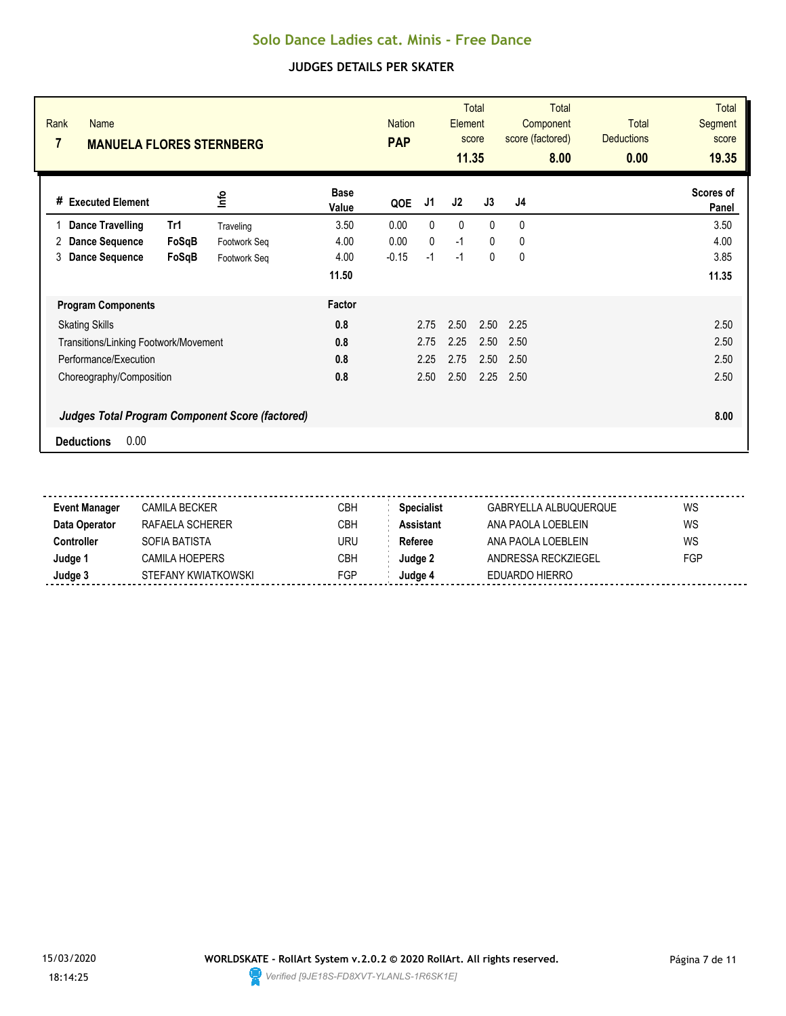| Rank<br><b>Name</b><br>7<br><b>MANUELA FLORES STERNBERG</b> |                                                 |                      | <b>Nation</b><br><b>PAP</b> |              | Element<br>11.35 | <b>Total</b><br>score | <b>Total</b><br>Component<br>score (factored)<br>8.00 | <b>Total</b><br><b>Deductions</b><br>0.00 | <b>Total</b><br>Segment<br>score<br>19.35 |
|-------------------------------------------------------------|-------------------------------------------------|----------------------|-----------------------------|--------------|------------------|-----------------------|-------------------------------------------------------|-------------------------------------------|-------------------------------------------|
| # Executed Element                                          | lnfo                                            | <b>Base</b><br>Value | QOE                         | J1           | J2               | J3                    | J <sub>4</sub>                                        |                                           | Scores of<br>Panel                        |
| Tr1<br><b>Dance Travelling</b>                              | Traveling                                       | 3.50                 | 0.00                        | $\mathbf{0}$ | $\mathbf{0}$     | $\mathbf{0}$          | 0                                                     |                                           | 3.50                                      |
| <b>Dance Sequence</b><br>2                                  | FoSqB<br>Footwork Seq                           | 4.00                 | 0.00                        | $\mathbf{0}$ | $-1$             | 0                     | 0                                                     |                                           | 4.00                                      |
| <b>Dance Sequence</b><br>3                                  | FoSqB<br>Footwork Seg                           | 4.00                 | $-0.15$                     | $-1$         | $-1$             | 0                     | 0                                                     |                                           | 3.85                                      |
|                                                             |                                                 | 11.50                |                             |              |                  |                       |                                                       |                                           | 11.35                                     |
| <b>Program Components</b>                                   |                                                 | Factor               |                             |              |                  |                       |                                                       |                                           |                                           |
| <b>Skating Skills</b>                                       |                                                 | 0.8                  |                             | 2.75         | 2.50             | 2.50                  | 2.25                                                  |                                           | 2.50                                      |
| Transitions/Linking Footwork/Movement                       |                                                 | 0.8                  |                             | 2.75         | 2.25             | 2.50                  | 2.50                                                  |                                           | 2.50                                      |
| Performance/Execution                                       |                                                 | 0.8                  |                             | 2.25         | 2.75             | 2.50                  | 2.50                                                  |                                           | 2.50                                      |
| Choreography/Composition                                    |                                                 | 0.8                  |                             | 2.50         | 2.50             | 2.25                  | 2.50                                                  |                                           | 2.50                                      |
|                                                             | Judges Total Program Component Score (factored) |                      |                             |              |                  |                       |                                                       |                                           | 8.00                                      |
| 0.00<br><b>Deductions</b>                                   |                                                 |                      |                             |              |                  |                       |                                                       |                                           |                                           |

| <b>Event Manager</b> | CAMILA BECKER       | CBH        | <b>Specialist</b> | GABRYELLA ALBUQUERQUE | WS  |
|----------------------|---------------------|------------|-------------------|-----------------------|-----|
| Data Operator        | RAFAELA SCHERFR     | CBH        | <b>Assistant</b>  | ANA PAOLA LOEBI FIN   | WS  |
| Controller           | SOFIA BATISTA       | URU        | Referee           | ANA PAOLA LOEBLFIN    | WS  |
| Judge 1              | CAMILA HOEPERS      | <b>CBH</b> | Judae 2           | ANDRESSA RECKZIEGEL   | FGP |
| Judge 3              | STEFANY KWIATKOWSKI | FGP        | Judge 4           | EDUARDO HIERRO        |     |
|                      |                     |            |                   |                       |     |

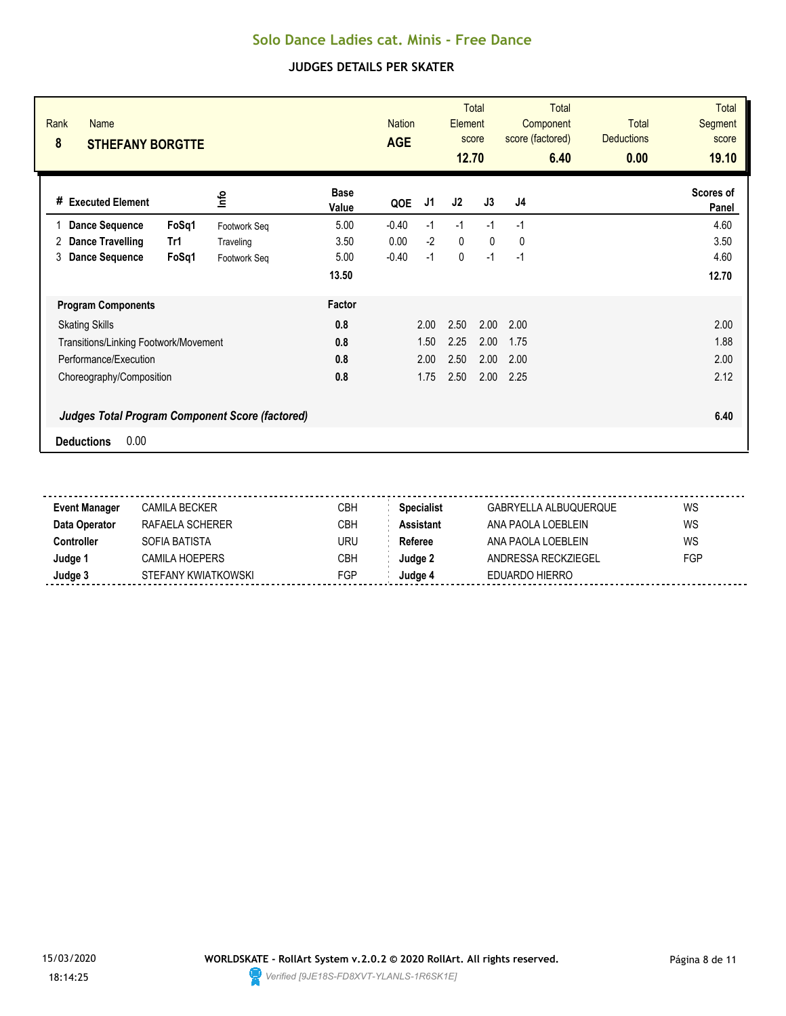| Rank<br><b>Name</b><br>8<br><b>STHEFANY BORGTTE</b>    |              |                      | <b>Nation</b><br><b>AGE</b> |      | Element<br>12.70 | <b>Total</b><br>score | <b>Total</b><br>Component<br>score (factored)<br>6.40 | <b>Total</b><br><b>Deductions</b><br>0.00 | <b>Total</b><br>Segment<br>score<br>19.10 |
|--------------------------------------------------------|--------------|----------------------|-----------------------------|------|------------------|-----------------------|-------------------------------------------------------|-------------------------------------------|-------------------------------------------|
| # Executed Element                                     | lnfo         | <b>Base</b><br>Value | QOE                         | J1   | J2               | J3                    | J4                                                    |                                           | Scores of<br>Panel                        |
| <b>Dance Sequence</b><br>FoSq1                         | Footwork Seq | 5.00                 | $-0.40$                     | $-1$ | $-1$             | $-1$                  | $-1$                                                  |                                           | 4.60                                      |
| Dance Travelling<br>Tr1<br>2                           | Traveling    | 3.50                 | 0.00                        | $-2$ | $\mathbf{0}$     | $\mathbf{0}$          | 0                                                     |                                           | 3.50                                      |
| <b>Dance Sequence</b><br>FoSq1<br>3                    | Footwork Seq | 5.00                 | $-0.40$                     | $-1$ | 0                | $-1$                  | $-1$                                                  |                                           | 4.60                                      |
|                                                        |              | 13.50                |                             |      |                  |                       |                                                       |                                           | 12.70                                     |
| <b>Program Components</b>                              |              | Factor               |                             |      |                  |                       |                                                       |                                           |                                           |
| <b>Skating Skills</b>                                  |              | 0.8                  |                             | 2.00 | 2.50             | 2.00                  | 2.00                                                  |                                           | 2.00                                      |
| Transitions/Linking Footwork/Movement                  |              | 0.8                  |                             | 1.50 | 2.25             | 2.00                  | 1.75                                                  |                                           | 1.88                                      |
| Performance/Execution                                  |              | 0.8                  |                             | 2.00 | 2.50             | 2.00                  | 2.00                                                  |                                           | 2.00                                      |
| Choreography/Composition                               |              | 0.8                  |                             | 1.75 | 2.50             | 2.00                  | 2.25                                                  |                                           | 2.12                                      |
| <b>Judges Total Program Component Score (factored)</b> |              |                      |                             |      |                  |                       |                                                       |                                           | 6.40                                      |
| 0.00<br><b>Deductions</b>                              |              |                      |                             |      |                  |                       |                                                       |                                           |                                           |

| Event Manager | CAMILA BECKER       | СВН        | <b>Specialist</b> | GABRYELLA ALBUQUERQUE | WS         |
|---------------|---------------------|------------|-------------------|-----------------------|------------|
| Data Operator | RAFAFI A SCHFRFR    | CBH        | <b>Assistant</b>  | ANA PAOLA LOEBLEIN    | WS         |
| Controller    | SOFIA BATISTA       | URU        | Referee           | ANA PAOLA LOEBLEIN    | WS         |
| Judge 1       | CAMILA HOEPERS      | СВН        | Judge 2           | ANDRESSA RECKZIEGEL   | <b>FGP</b> |
| Judge 3       | STEFANY KWIATKOWSKI | <b>FGP</b> | Judge 4           | EDUARDO HIERRO        |            |
|               |                     |            |                   |                       |            |

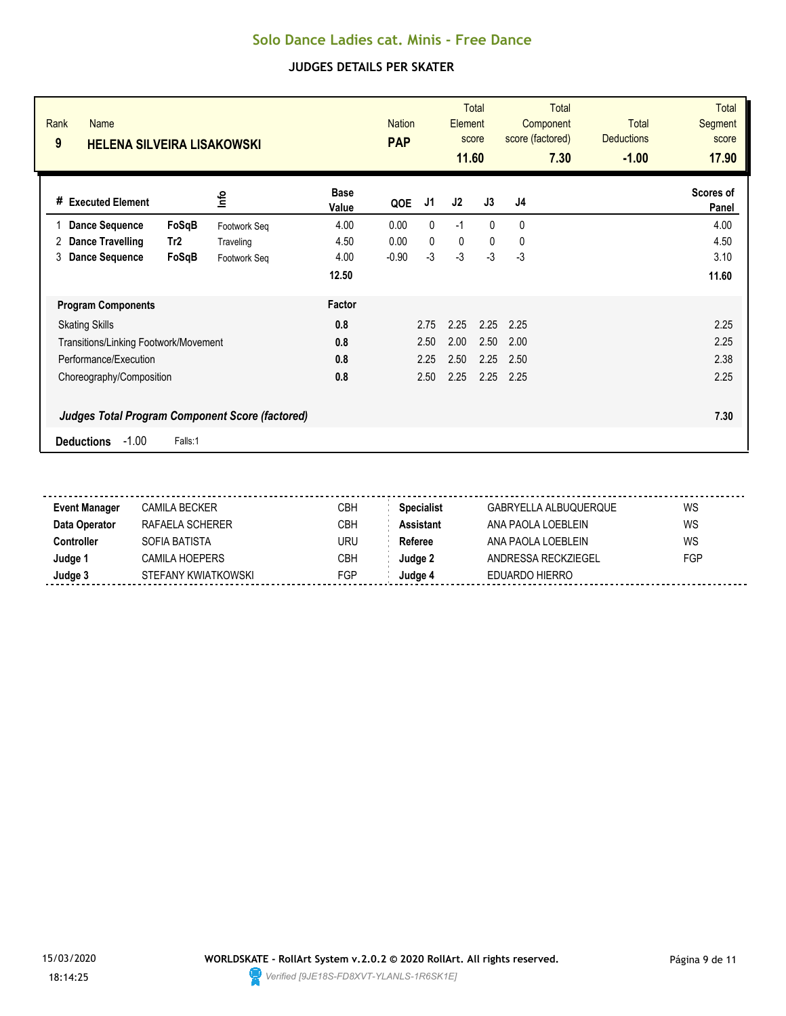| Rank<br><b>Name</b><br>9<br><b>HELENA SILVEIRA LISAKOWSKI</b> |              |                      | <b>Nation</b><br><b>PAP</b> |      | Element<br>11.60 | <b>Total</b><br>score | <b>Total</b><br>Component<br>score (factored)<br>7.30 | <b>Total</b><br><b>Deductions</b><br>$-1.00$ | <b>Total</b><br>Segment<br>score<br>17.90 |
|---------------------------------------------------------------|--------------|----------------------|-----------------------------|------|------------------|-----------------------|-------------------------------------------------------|----------------------------------------------|-------------------------------------------|
| <b>Executed Element</b><br>#                                  | lnfo         | <b>Base</b><br>Value | QOE                         | J1   | J2               | J3                    | J <sub>4</sub>                                        |                                              | Scores of<br>Panel                        |
| <b>Dance Sequence</b><br>FoSqB                                | Footwork Seq | 4.00                 | 0.00                        | 0    | $-1$             | $\Omega$              | $\Omega$                                              |                                              | 4.00                                      |
| Dance Travelling<br>Tr2<br>2                                  | Traveling    | 4.50                 | 0.00                        | 0    | 0                | $\mathbf{0}$          | 0                                                     |                                              | 4.50                                      |
| <b>Dance Sequence</b><br>FoSqB<br>3                           | Footwork Seq | 4.00                 | $-0.90$                     | $-3$ | $-3$             | $-3$                  | $-3$                                                  |                                              | 3.10                                      |
|                                                               |              | 12.50                |                             |      |                  |                       |                                                       |                                              | 11.60                                     |
| <b>Program Components</b>                                     |              | Factor               |                             |      |                  |                       |                                                       |                                              |                                           |
| <b>Skating Skills</b>                                         |              | 0.8                  |                             | 2.75 | 2.25             | 2.25                  | 2.25                                                  |                                              | 2.25                                      |
| Transitions/Linking Footwork/Movement                         |              | 0.8                  |                             | 2.50 | 2.00             | 2.50                  | 2.00                                                  |                                              | 2.25                                      |
| Performance/Execution                                         |              | 0.8                  |                             | 2.25 | 2.50             | 2.25                  | 2.50                                                  |                                              | 2.38                                      |
| Choreography/Composition                                      |              | 0.8                  |                             | 2.50 | 2.25             | 2.25                  | 2.25                                                  |                                              | 2.25                                      |
| <b>Judges Total Program Component Score (factored)</b>        |              |                      |                             |      |                  |                       |                                                       |                                              | 7.30                                      |
| $-1.00$<br><b>Deductions</b>                                  | Falls:1      |                      |                             |      |                  |                       |                                                       |                                              |                                           |

| Event Manager | CAMILA BECKER       | СВН        | <b>Specialist</b> | GABRYELLA ALBUQUERQUE | WS         |
|---------------|---------------------|------------|-------------------|-----------------------|------------|
| Data Operator | RAFAFI A SCHFRFR    | CBH        | <b>Assistant</b>  | ANA PAOLA LOEBLEIN    | WS         |
| Controller    | SOFIA BATISTA       | URU        | Referee           | ANA PAOLA LOEBLEIN    | WS         |
| Judge 1       | CAMILA HOEPERS      | СВН        | Judge 2           | ANDRESSA RECKZIEGEL   | <b>FGP</b> |
| Judge 3       | STEFANY KWIATKOWSKI | <b>FGP</b> | Judge 4           | EDUARDO HIERRO        |            |
|               |                     |            |                   |                       |            |

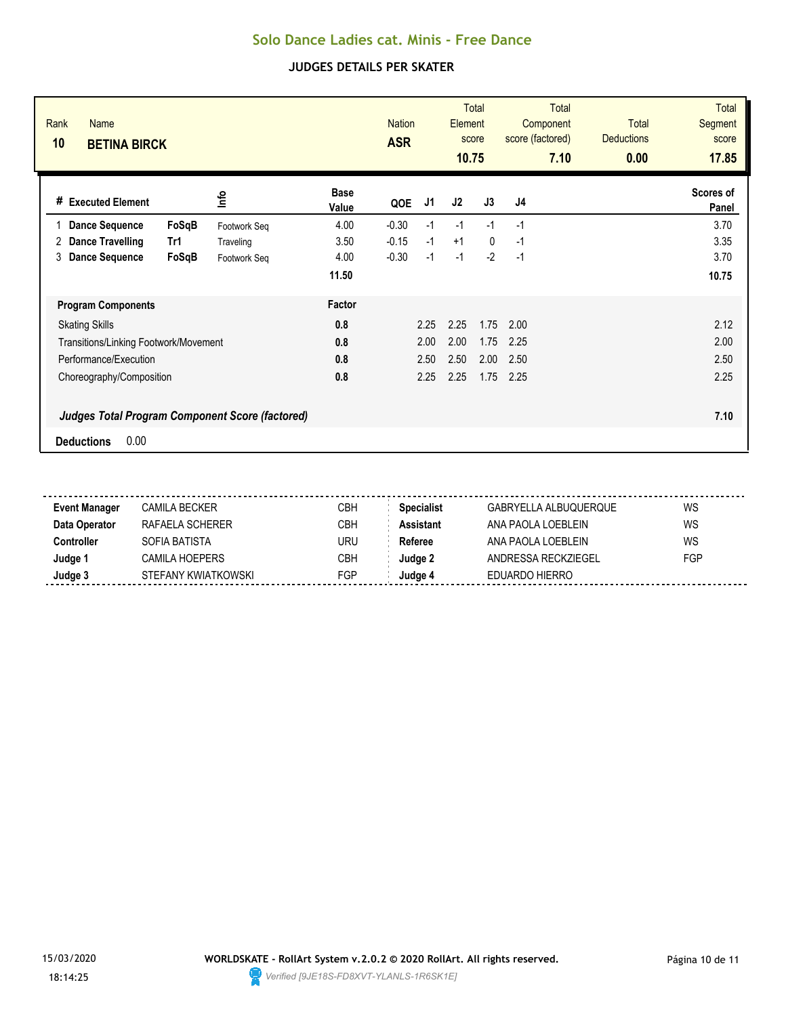| Rank<br><b>Name</b><br>10<br><b>BETINA BIRCK</b> |                                                        |                      | <b>Nation</b><br><b>ASR</b> |      | <b>Element</b><br>10.75 | Total<br>score | <b>Total</b><br>Component<br>score (factored)<br>7.10 | <b>Total</b><br><b>Deductions</b><br>0.00 | <b>Total</b><br>Segment<br>score<br>17.85 |
|--------------------------------------------------|--------------------------------------------------------|----------------------|-----------------------------|------|-------------------------|----------------|-------------------------------------------------------|-------------------------------------------|-------------------------------------------|
| # Executed Element                               | ٩ų                                                     | <b>Base</b><br>Value | QOE                         | J1   | J2                      | J3             | J4                                                    |                                           | Scores of<br>Panel                        |
| <b>Dance Sequence</b>                            | FoSqB<br>Footwork Seq                                  | 4.00                 | $-0.30$                     | $-1$ | $-1$                    | $-1$           | $-1$                                                  |                                           | 3.70                                      |
| <b>Dance Travelling</b><br>2                     | Tr1<br>Traveling                                       | 3.50                 | $-0.15$                     | $-1$ | $+1$                    | $\mathbf{0}$   | $-1$                                                  |                                           | 3.35                                      |
| <b>Dance Sequence</b><br>3                       | FoSqB<br>Footwork Seq                                  | 4.00                 | $-0.30$                     | $-1$ | $-1$                    | $-2$           | $-1$                                                  |                                           | 3.70                                      |
|                                                  |                                                        | 11.50                |                             |      |                         |                |                                                       |                                           | 10.75                                     |
| <b>Program Components</b>                        |                                                        | Factor               |                             |      |                         |                |                                                       |                                           |                                           |
| <b>Skating Skills</b>                            |                                                        | 0.8                  |                             | 2.25 | 2.25                    | 1.75           | 2.00                                                  |                                           | 2.12                                      |
| Transitions/Linking Footwork/Movement            |                                                        | 0.8                  |                             | 2.00 | 2.00                    | 1.75           | 2.25                                                  |                                           | 2.00                                      |
| Performance/Execution                            |                                                        | 0.8                  |                             | 2.50 | 2.50                    | 2.00           | 2.50                                                  |                                           | 2.50                                      |
| Choreography/Composition                         |                                                        | 0.8                  |                             | 2.25 | 2.25                    | 1.75           | 2.25                                                  |                                           | 2.25                                      |
|                                                  | <b>Judges Total Program Component Score (factored)</b> |                      |                             |      |                         |                |                                                       |                                           | 7.10                                      |
| 0.00<br><b>Deductions</b>                        |                                                        |                      |                             |      |                         |                |                                                       |                                           |                                           |

| <b>Event Manager</b> | CAMILA BECKER       | CBH | Specialist       | GABRYELLA ALBUQUERQUE | WS  |  |
|----------------------|---------------------|-----|------------------|-----------------------|-----|--|
| Data Operator        | RAFAFI A SCHFRFR    | CBH | <b>Assistant</b> | ANA PAOLA LOEBI FIN   | WS  |  |
| Controller           | SOFIA BATISTA       | URU | Referee          | ANA PAOLA LOEBLFIN    | WS  |  |
| Judge 1              | CAMILA HOEPERS      | СВН | Judae 2          | ANDRESSA RECKZIEGEL   | FGP |  |
| Judge 3              | STEFANY KWIATKOWSKI | FGP | Judae 4          | EDUARDO HIERRO        |     |  |
|                      |                     |     |                  |                       |     |  |